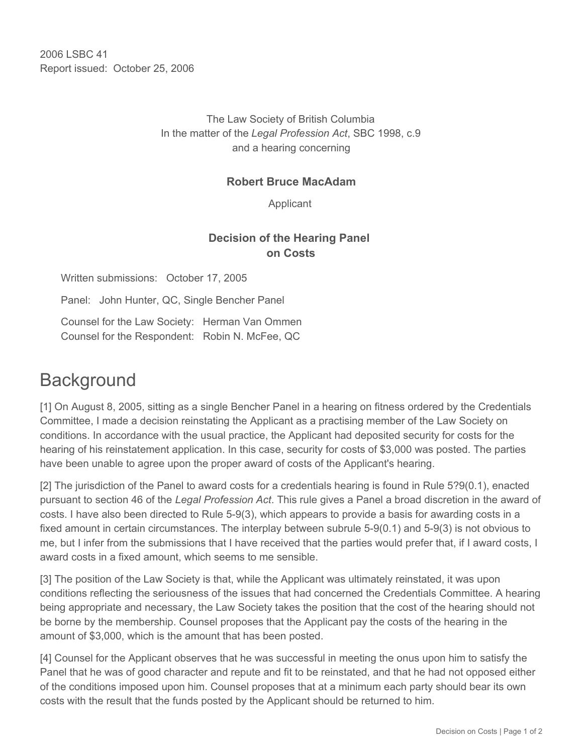2006 LSBC 41 Report issued: October 25, 2006

> The Law Society of British Columbia In the matter of the *Legal Profession Act*, SBC 1998, c.9 and a hearing concerning

## **Robert Bruce MacAdam**

Applicant

## **Decision of the Hearing Panel on Costs**

Written submissions: October 17, 2005 Panel: John Hunter, QC, Single Bencher Panel Counsel for the Law Society: Herman Van Ommen Counsel for the Respondent: Robin N. McFee, QC

## **Background**

[1] On August 8, 2005, sitting as a single Bencher Panel in a hearing on fitness ordered by the Credentials Committee, I made a decision reinstating the Applicant as a practising member of the Law Society on conditions. In accordance with the usual practice, the Applicant had deposited security for costs for the hearing of his reinstatement application. In this case, security for costs of \$3,000 was posted. The parties have been unable to agree upon the proper award of costs of the Applicant's hearing.

[2] The jurisdiction of the Panel to award costs for a credentials hearing is found in Rule 5?9(0.1), enacted pursuant to section 46 of the *Legal Profession Act*. This rule gives a Panel a broad discretion in the award of costs. I have also been directed to Rule 5-9(3), which appears to provide a basis for awarding costs in a fixed amount in certain circumstances. The interplay between subrule 5-9(0.1) and 5-9(3) is not obvious to me, but I infer from the submissions that I have received that the parties would prefer that, if I award costs, I award costs in a fixed amount, which seems to me sensible.

[3] The position of the Law Society is that, while the Applicant was ultimately reinstated, it was upon conditions reflecting the seriousness of the issues that had concerned the Credentials Committee. A hearing being appropriate and necessary, the Law Society takes the position that the cost of the hearing should not be borne by the membership. Counsel proposes that the Applicant pay the costs of the hearing in the amount of \$3,000, which is the amount that has been posted.

[4] Counsel for the Applicant observes that he was successful in meeting the onus upon him to satisfy the Panel that he was of good character and repute and fit to be reinstated, and that he had not opposed either of the conditions imposed upon him. Counsel proposes that at a minimum each party should bear its own costs with the result that the funds posted by the Applicant should be returned to him.